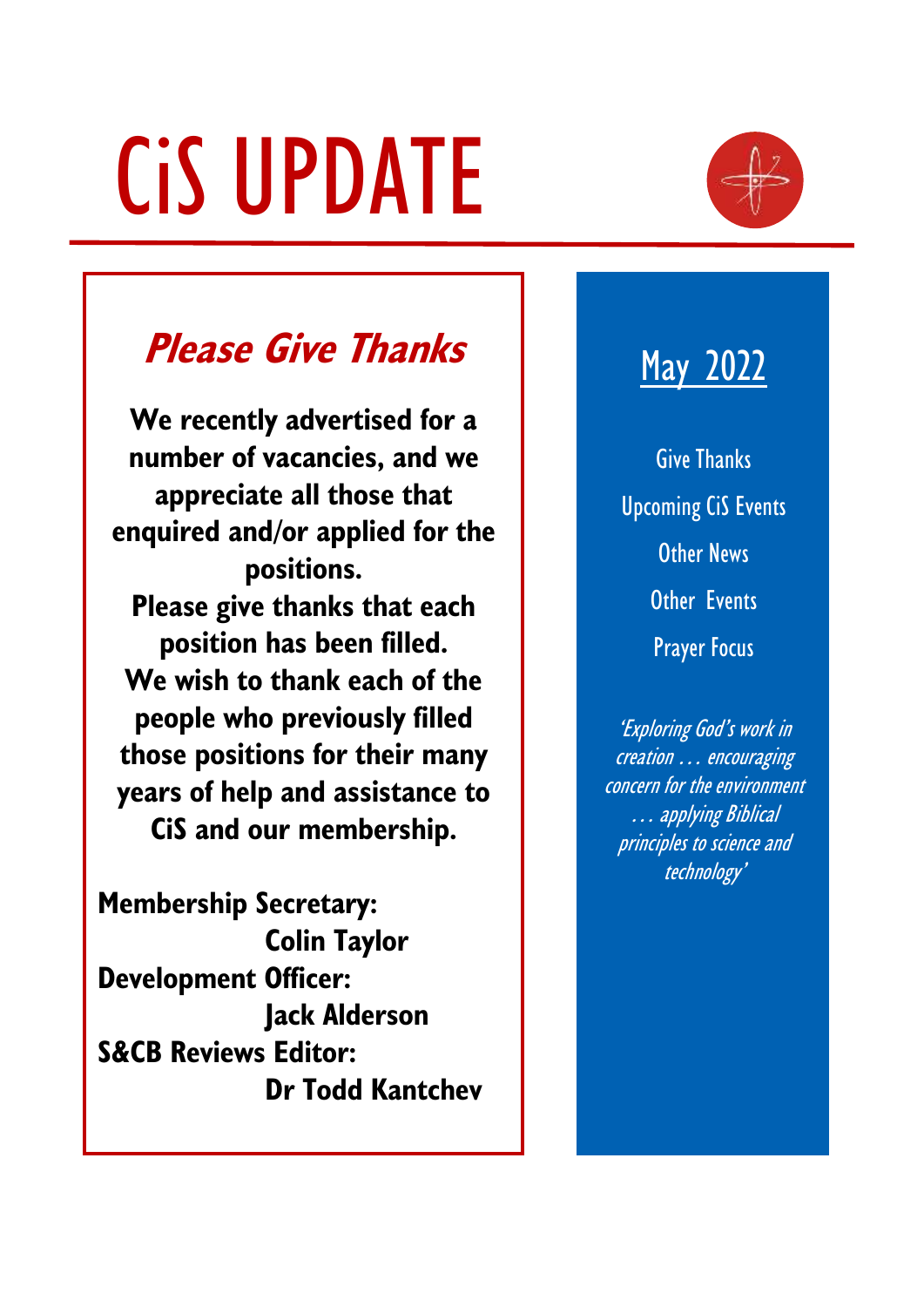# CiS UPDATE



# **Please Give Thanks**

**We recently advertised for a number of vacancies, and we appreciate all those that enquired and/or applied for the positions. Please give thanks that each position has been filled. We wish to thank each of the people who previously filled those positions for their many years of help and assistance to CiS and our membership.**

**Membership Secretary: Colin Taylor Development Officer: Jack Alderson S&CB Reviews Editor: Dr Todd Kantchev**

# May 2022

Give Thanks Upcoming CiS Events Other News Other Events Prayer Focus

'Exploring God's work in creation … encouraging concern for the environment … applying Biblical principles to science and technology'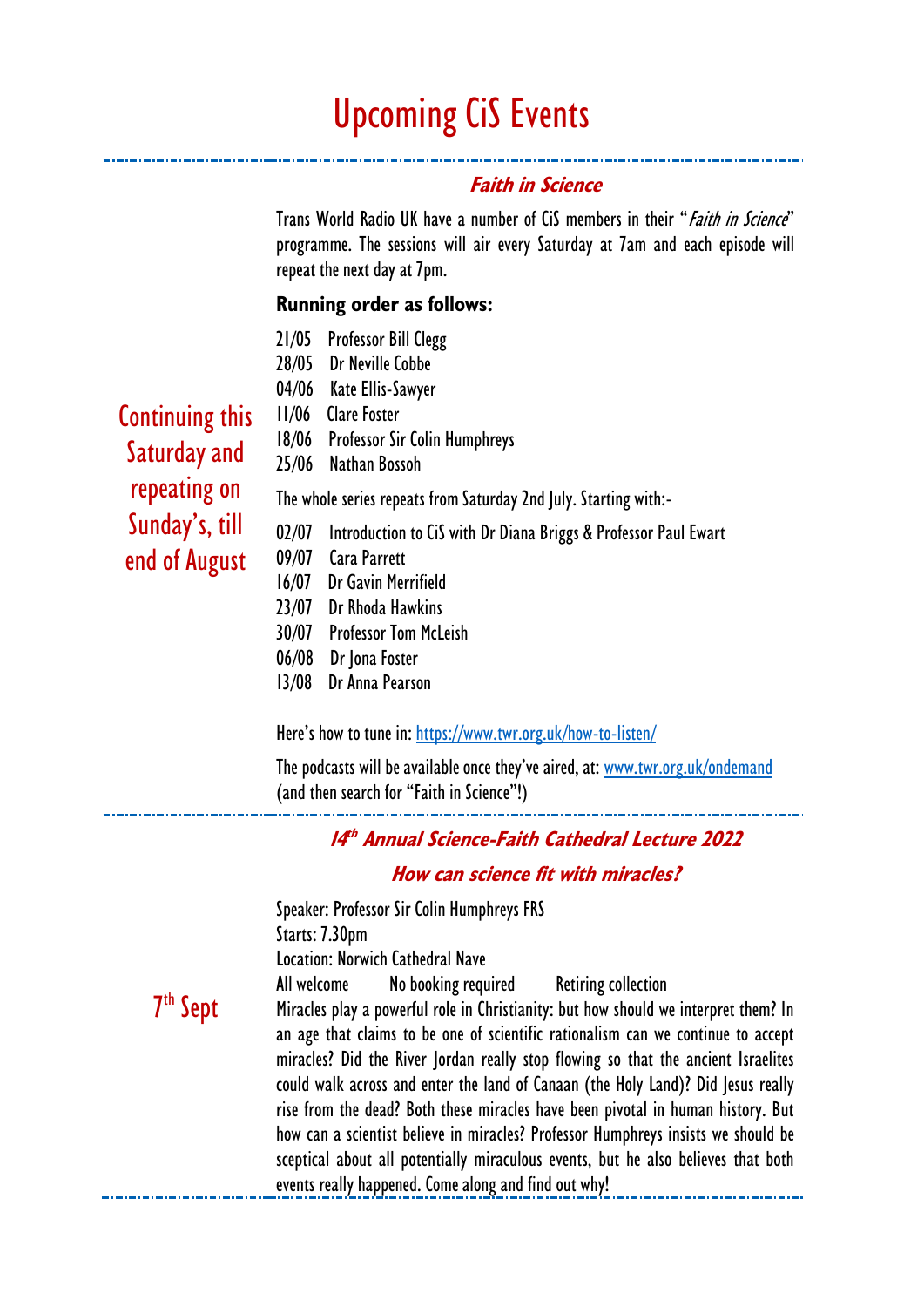# Upcoming CiS Events

### **Faith in Science**

Trans World Radio UK have a number of CiS members in their "*Faith in Science*" programme. The sessions will air every Saturday at 7am and each episode will repeat the next day at 7pm.

#### **Running order as follows:**

- 21/05 Professor Bill Clegg
- 28/05 Dr Neville Cobbe
- 04/06 Kate Ellis-Sawyer

Continuing this Saturday and repeating on Sunday's, till end of August

- 11/06 Clare Foster 18/06 Professor Sir Colin Humphreys 25/06 Nathan Bossoh The whole series repeats from Saturday 2nd July. Starting with:- 02/07 Introduction to CiS with Dr Diana Briggs & Professor Paul Ewart 09/07 Cara Parrett 16/07 Dr Gavin Merrifield 23/07 Dr Rhoda Hawkins 30/07 Professor Tom McLeish
	- 06/08 Dr Jona Foster
	- 13/08 Dr Anna Pearson

Here's how to tune in: <https://www.twr.org.uk/how-to-listen/>

The podcasts will be available once they've aired, at: [www.twr.org.uk/ondemand](http://www.twr.org.uk/ondemand) (and then search for "Faith in Science"!)

#### **14 th Annual Science-Faith Cathedral Lecture 2022**

#### **How can science fit with miracles?**

Speaker: Professor Sir Colin Humphreys FRS Starts: 7.30pm Location: Norwich Cathedral Nave All welcome No booking required Retiring collection

7 th Sept

Miracles play a powerful role in Christianity: but how should we interpret them? In an age that claims to be one of scientific rationalism can we continue to accept miracles? Did the River Jordan really stop flowing so that the ancient Israelites could walk across and enter the land of Canaan (the Holy Land)? Did Jesus really rise from the dead? Both these miracles have been pivotal in human history. But how can a scientist believe in miracles? Professor Humphreys insists we should be sceptical about all potentially miraculous events, but he also believes that both events really happened. Come along and find out why!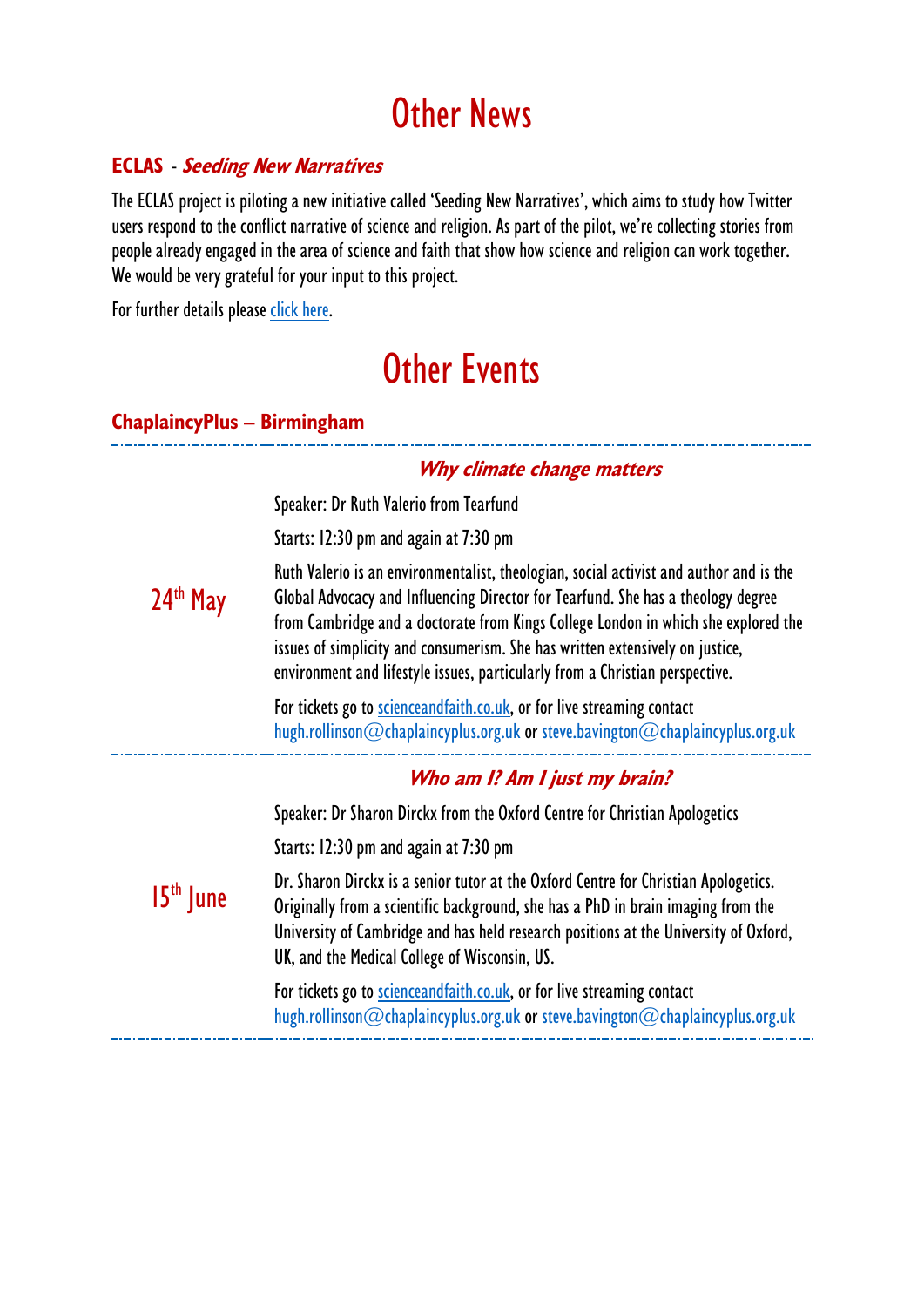# Other News

## **ECLAS** - **Seeding New Narratives**

The ECLAS project is piloting a new initiative called 'Seeding New Narratives', which aims to study how Twitter users respond to the conflict narrative of science and religion. As part of the pilot, we're collecting stories from people already engaged in the area of science and faith that show how science and religion can work together. We would be very grateful for your input to this project.

For further details please [click here.](https://www.cis.org.uk/wp-content/uploads/2022/05/ECLAS-New-Narratives.pdf)

# Other Events

## **ChaplaincyPlus – Birmingham**

24<sup>th</sup> May **Why climate change matters** Speaker: Dr Ruth Valerio from Tearfund Starts: 12:30 pm and again at 7:30 pm Ruth Valerio is an environmentalist, theologian, social activist and author and is the Global Advocacy and Influencing Director for Tearfund. She has a theology degree from Cambridge and a doctorate from Kings College London in which she explored the issues of simplicity and consumerism. She has written extensively on justice, environment and lifestyle issues, particularly from a Christian perspective. For tickets go to [scienceandfaith.co.uk,](https://scienceandfaith.co.uk/) or for live streaming contact [hugh.rollinson@chaplaincyplus.org.uk](mailto:hugh.rollinson@chaplaincyplus.org.uk) or [steve.bavington@chaplaincyplus.org.uk](mailto:steve.bavington@chaplaincyplus.org.uk) 15<sup>th</sup> June **Who am I? Am I just my brain?** Speaker: Dr Sharon Dirckx from the Oxford Centre for Christian Apologetics Starts: 12:30 pm and again at 7:30 pm Dr. Sharon Dirckx is a senior tutor at the Oxford Centre for Christian Apologetics. Originally from a scientific background, she has a PhD in brain imaging from the University of Cambridge and has held research positions at the University of Oxford, UK, and the Medical College of Wisconsin, US. For tickets go to [scienceandfaith.co.uk,](https://scienceandfaith.co.uk/) or for live streaming contact

[hugh.rollinson@chaplaincyplus.org.uk](mailto:hugh.rollinson@chaplaincyplus.org.uk) or [steve.bavington@chaplaincyplus.org.uk](mailto:steve.bavington@chaplaincyplus.org.uk)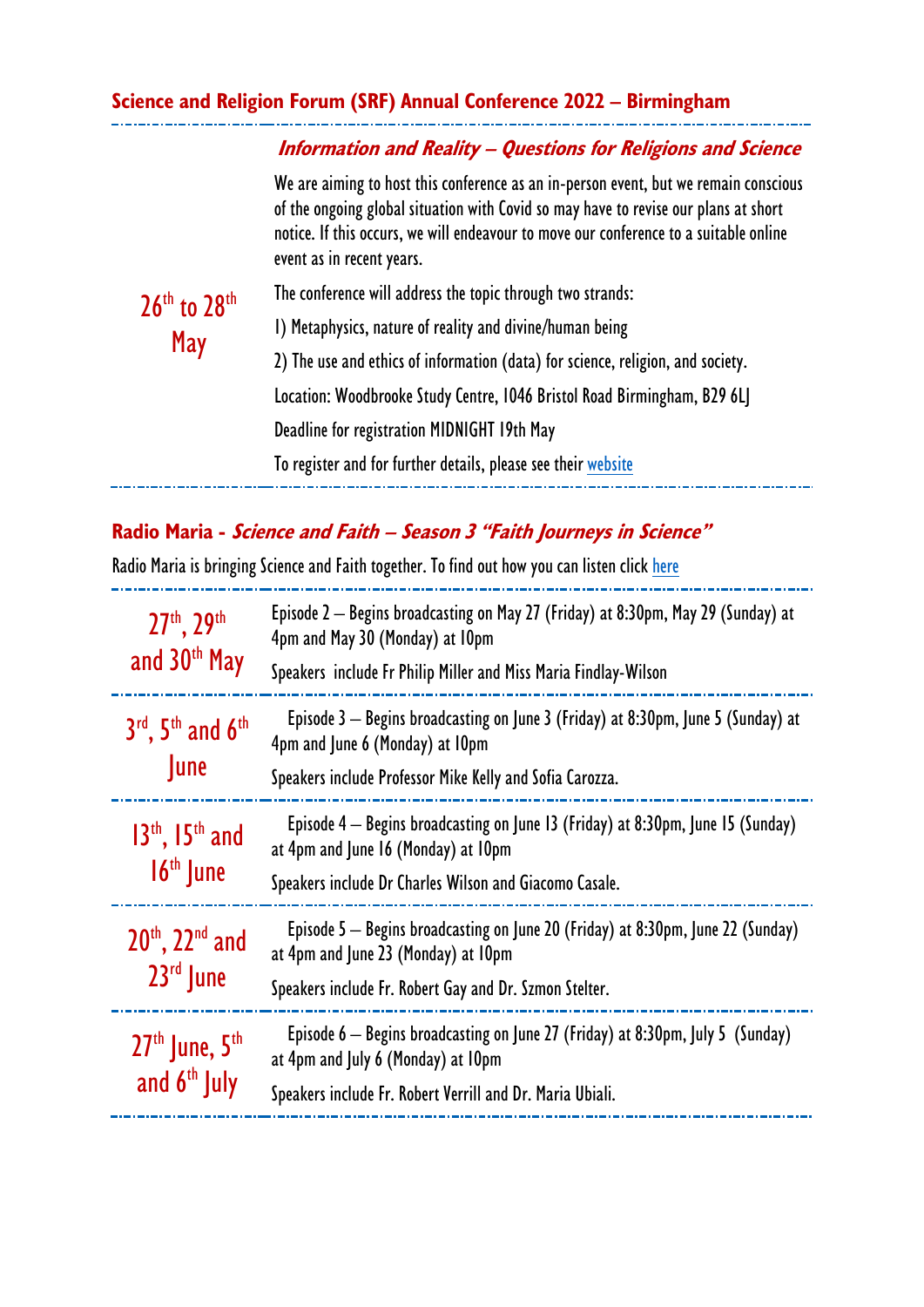#### **Science and Religion Forum (SRF) Annual Conference 2022 – Birmingham**

#### **Information and Reality – Questions for Religions and Science**

We are aiming to host this conference as an in-person event, but we remain conscious of the ongoing global situation with Covid so may have to revise our plans at short notice. If this occurs, we will endeavour to move our conference to a suitable online event as in recent years.

 $26<sup>th</sup>$  to  $28<sup>th</sup>$ May The conference will address the topic through two strands: 1) Metaphysics, nature of reality and divine/human being 2) The use and ethics of information (data) for science, religion, and society. Location: Woodbrooke Study Centre, 1046 Bristol Road Birmingham, B29 6LJ Deadline for registration MIDNIGHT 19th May

To register and for further details, please see thei[r website](https://www.srforum.org/2022-conference)

## **Radio Maria - Science and Faith – Season 3 "Faith Journeys in Science"**

Radio Maria is bringing Science and Faith together. To find out how you can listen click [here](https://radiomariaengland.uk/how-to-listen-to-us/)

| 27th, 29th<br>and 30 <sup>th</sup> May   | Episode 2 – Begins broadcasting on May 27 (Friday) at 8:30pm, May 29 (Sunday) at<br>4pm and May 30 (Monday) at 10pm<br>Speakers include Fr Philip Miller and Miss Maria Findlay-Wilson |
|------------------------------------------|----------------------------------------------------------------------------------------------------------------------------------------------------------------------------------------|
| $3rd$ , $5th$ and $6th$<br><b>June</b>   | Episode $3$ – Begins broadcasting on June 3 (Friday) at 8:30pm, June 5 (Sunday) at<br>4pm and June 6 (Monday) at 10pm<br>Speakers include Professor Mike Kelly and Sofia Carozza.      |
| $13th$ , $15th$ and<br>$16th$ June       | Episode $4$ – Begins broadcasting on June 13 (Friday) at 8:30pm, June 15 (Sunday)<br>at 4pm and June 16 (Monday) at 10pm<br>Speakers include Dr Charles Wilson and Giacomo Casale.     |
| $20^{th}$ , $22^{nd}$ and<br>$23rd$ June | Episode 5 – Begins broadcasting on June 20 (Friday) at 8:30pm, June 22 (Sunday)<br>at 4pm and June 23 (Monday) at 10pm<br>Speakers include Fr. Robert Gay and Dr. Szmon Stelter.       |
| $27th$ June, $5th$<br>and $6th$ July     | Episode $6$ – Begins broadcasting on June 27 (Friday) at 8:30pm, July 5 (Sunday)<br>at 4pm and July 6 (Monday) at 10pm<br>Speakers include Fr. Robert Verrill and Dr. Maria Ubiali.    |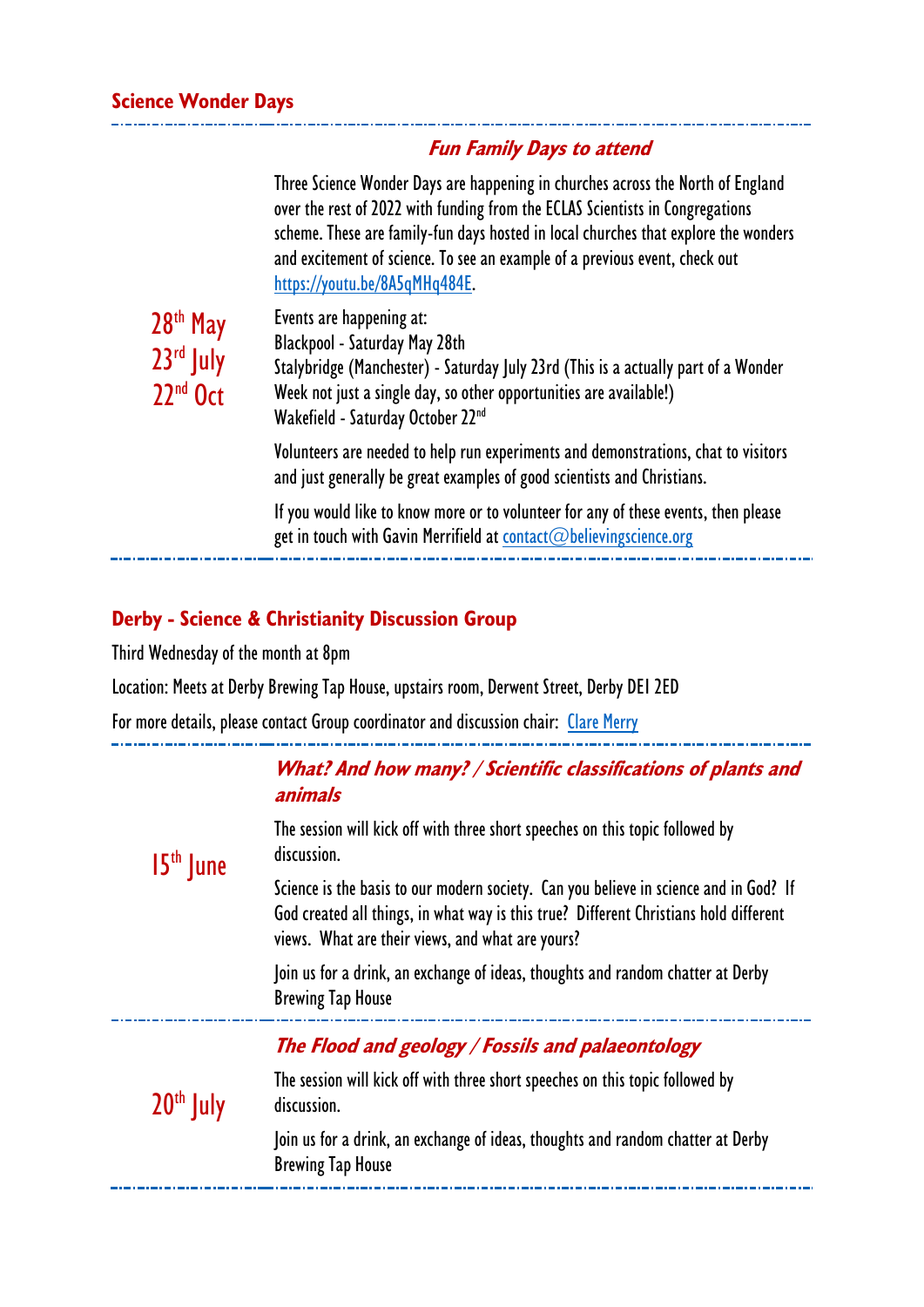#### **Fun Family Days to attend**

Three Science Wonder Days are happening in churches across the North of England over the rest of 2022 with funding from the ECLAS Scientists in Congregations scheme. These are family-fun days hosted in local churches that explore the wonders and excitement of science. To see an example of a previous event, check out [https://youtu.be/8A5qMHq484E.](https://youtu.be/8A5qMHq484E)

| 28 <sup>th</sup> May<br>23rd July<br>$22nd$ Oct | Events are happening at:<br>Blackpool - Saturday May 28th<br>Stalybridge (Manchester) - Saturday July 23rd (This is a actually part of a Wonder<br>Week not just a single day, so other opportunities are available!)<br>Wakefield - Saturday October 22 <sup>nd</sup> |
|-------------------------------------------------|------------------------------------------------------------------------------------------------------------------------------------------------------------------------------------------------------------------------------------------------------------------------|
|                                                 | Volunteers are needed to help run experiments and demonstrations, chat to visitors<br>and just generally be great examples of good scientists and Christians.                                                                                                          |
|                                                 | If you would like to know more or to volunteer for any of these events, then please<br>get in touch with Gavin Merrifield at contact@believingscience.org                                                                                                              |

## **Derby - Science & Christianity Discussion Group**

Third Wednesday of the month at 8pm

÷.

Location: Meets at Derby Brewing Tap House, upstairs room, Derwent Street, Derby DE1 2ED

For more details, please contact Group coordinator and discussion chair: [Clare Merry](mailto:merryclareveronica@gmail.com)

| $15th$ June | What? And how many? / Scientific classifications of plants and<br>animals                                                                                                                                                          |
|-------------|------------------------------------------------------------------------------------------------------------------------------------------------------------------------------------------------------------------------------------|
|             | The session will kick off with three short speeches on this topic followed by<br>discussion.                                                                                                                                       |
|             | Science is the basis to our modern society. Can you believe in science and in God? If<br>God created all things, in what way is this true? Different Christians hold different<br>views. What are their views, and what are yours? |
|             | Join us for a drink, an exchange of ideas, thoughts and random chatter at Derby<br><b>Brewing Tap House</b>                                                                                                                        |
| $20th$ July | The Flood and geology / Fossils and palaeontology                                                                                                                                                                                  |
|             | The session will kick off with three short speeches on this topic followed by<br>discussion.                                                                                                                                       |
|             | Join us for a drink, an exchange of ideas, thoughts and random chatter at Derby<br><b>Brewing Tap House</b>                                                                                                                        |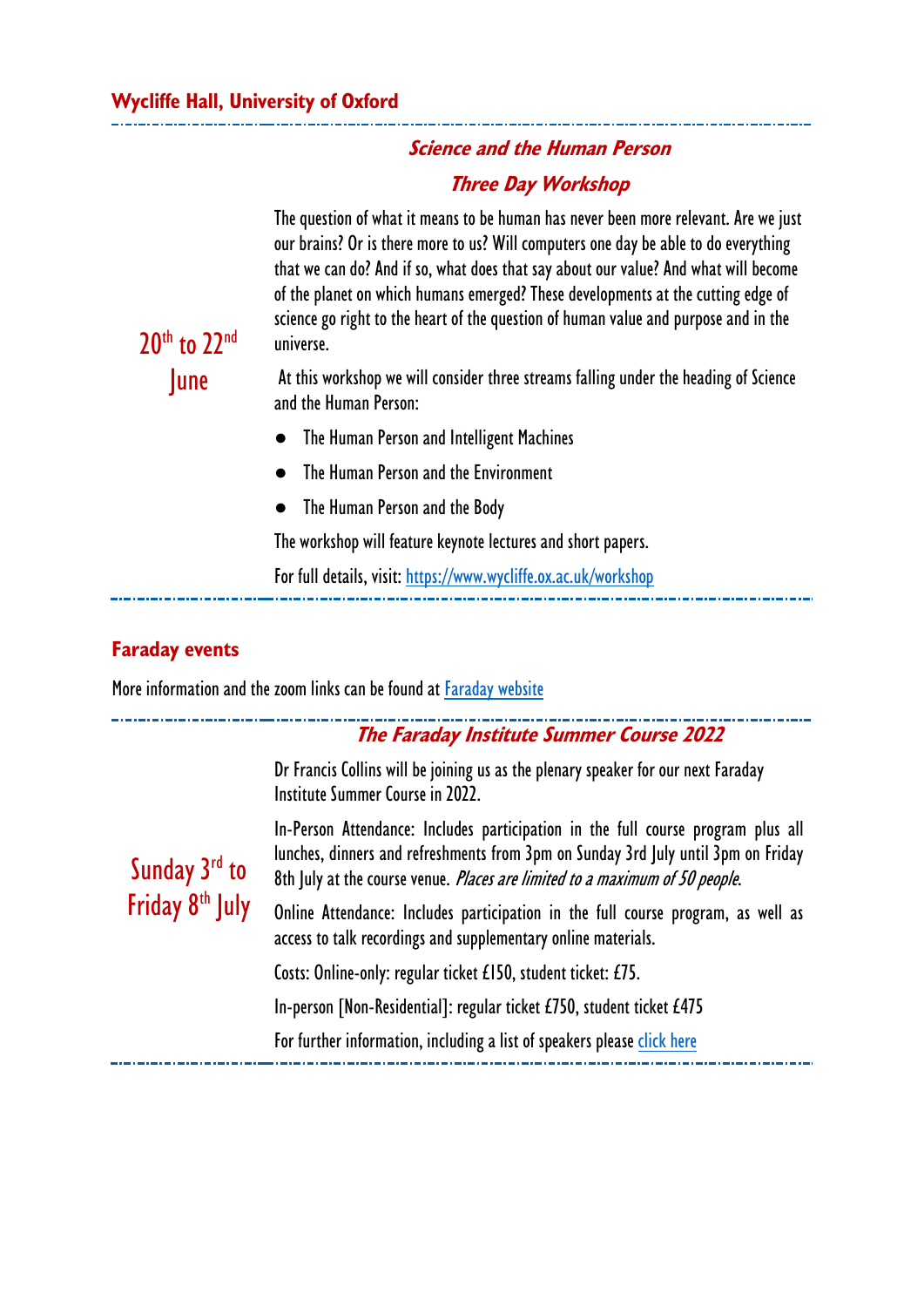## **Science and the Human Person Three Day Workshop**

The question of what it means to be human has never been more relevant. Are we just our brains? Or is there more to us? Will computers one day be able to do everything that we can do? And if so, what does that say about our value? And what will become of the planet on which humans emerged? These developments at the cutting edge of science go right to the heart of the question of human value and purpose and in the universe.

At this workshop we will consider three streams falling under the heading of Science and the Human Person:

- The Human Person and Intelligent Machines
- The Human Person and the Environment
- The Human Person and the Body

The workshop will feature keynote lectures and short papers.

For full details, visit:<https://www.wycliffe.ox.ac.uk/workshop>

#### **Faraday events**

20th to 22nd

June

More information and the zoom links can be found at [Faraday website](https://www.faraday.cam.ac.uk/events/overview/)

#### **The Faraday Institute Summer Course 2022**

Dr Francis Collins will be joining us as the plenary speaker for our next Faraday Institute Summer Course in 2022.

Sunday 3<sup>rd</sup> to Friday 8<sup>th</sup> July In-Person Attendance: Includes participation in the full course program plus all lunches, dinners and refreshments from 3pm on Sunday 3rd July until 3pm on Friday 8th July at the course venue. Places are limited to a maximum of 50 people.

Online Attendance: Includes participation in the full course program, as well as access to talk recordings and supplementary online materials.

Costs: Online-only: regular ticket £150, student ticket: £75.

In-person [Non-Residential]: regular ticket £750, student ticket £475

For further information, including a list of speakers please [click here](https://www.faraday.cam.ac.uk/event/the-faraday-institute-summer-course-2022/)